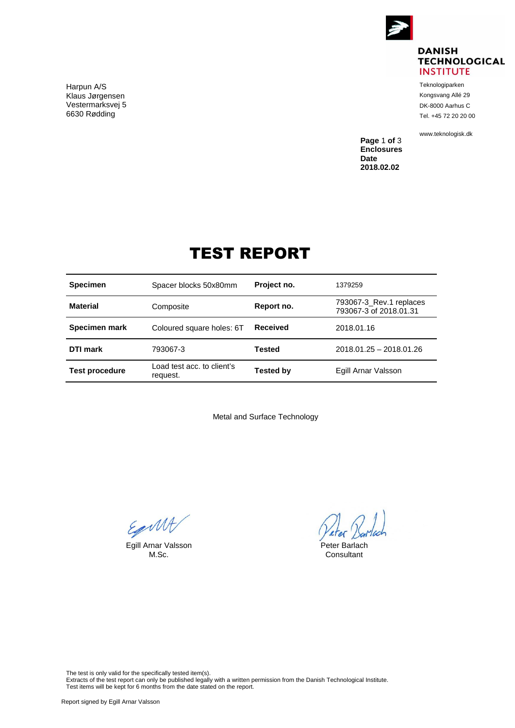

## **DANISH TECHNOLOGICAL INSTITUTE**

Teknologiparken Kongsvang Allé 29 DK-8000 Aarhus C Tel. +45 72 20 20 00

<www.teknologisk.dk>

**Page** 1 **of** 3 **Enclosures Date 2018.02.02**

## TEST REPORT

| <b>Specimen</b>       | Spacer blocks 50x80mm                  | Project no.      | 1379259                                           |
|-----------------------|----------------------------------------|------------------|---------------------------------------------------|
| <b>Material</b>       | Composite                              | Report no.       | 793067-3 Rev.1 replaces<br>793067-3 of 2018.01.31 |
| Specimen mark         | Coloured square holes: 6T              | <b>Received</b>  | 2018.01.16                                        |
| DTI mark              | 793067-3                               | <b>Tested</b>    | 2018.01.25 - 2018.01.26                           |
| <b>Test procedure</b> | Load test acc. to client's<br>request. | <b>Tested by</b> | Egill Arnar Valsson                               |

Metal and Surface Technology

Equall

Egill Arnar Valsson **Peter Barlach**<br>M.Sc. **M.Sc.** Consultant

Veter Bar

Consultant

The test is only valid for the specifically tested item(s).

Extracts of the test report can only be published legally with a written permission from the Danish Technological Institute. Test items will be kept for 6 months from the date stated on the report.

Harpun A/S Klaus Jørgensen Vestermarksvej 5 6630 Rødding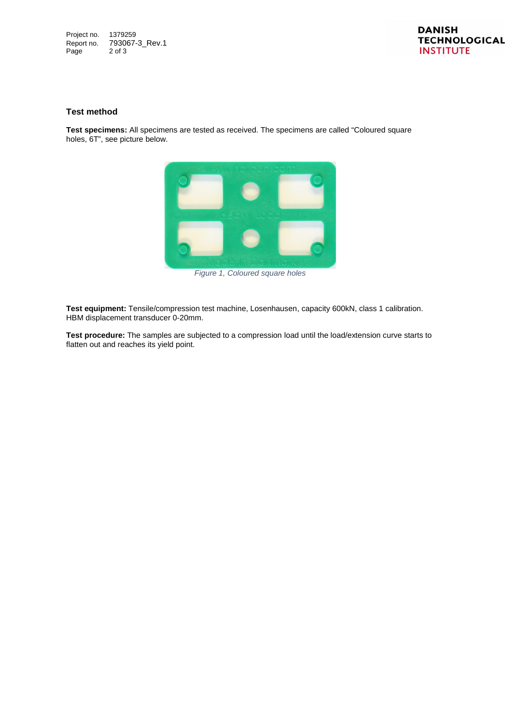Project no. 1379259 Report no. 793067-3\_Rev.1<br>Page 2 of 3  $2$  of  $3$ 

## **Test method**

**Test specimens:** All specimens are tested as received. The specimens are called "Coloured square holes, 6T", see picture below.



*Figure 1, Coloured square holes*

**Test equipment:** Tensile/compression test machine, Losenhausen, capacity 600kN, class 1 calibration. HBM displacement transducer 0-20mm.

**Test procedure:** The samples are subjected to a compression load until the load/extension curve starts to flatten out and reaches its yield point.